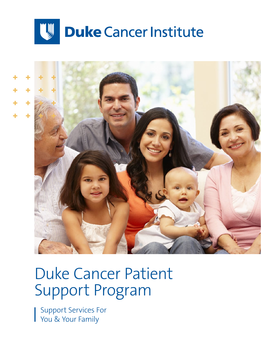



## Duke Cancer Patient Support Program

Support Services For You & Your Family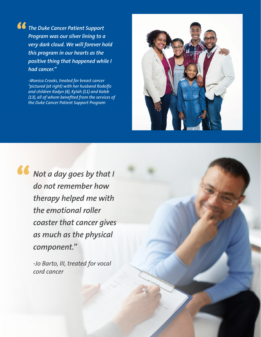*The Duke Cancer Patient Support Program was our silver lining to a very dark cloud. We will forever hold this program in our hearts as the positive thing that happened while I had cancer."*

> *-Monica Crooks, treated for breast cancer \*pictured (at right) with her husband Rodolfo and children Kadyn (4), Kylah (11) and Kaleb (13), all of whom beneted from the services of the Duke Cancer Patient Support Program*



*Not a day goes by that I do not remember how therapy helped me with the emotional roller coaster that cancer gives as much as the physical component."*

> *-Jo Barto, III, treated for vocal cord cancer*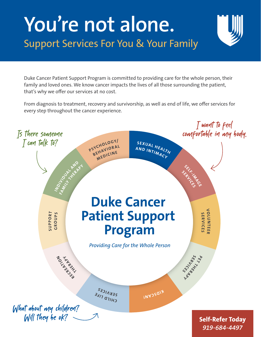# **You're not alone.** Support Services For You & Your Family

Duke Cancer Patient Support Program is committed to providing care for the whole person, their family and loved ones. We know cancer impacts the lives of all those surrounding the patient, that's why we offer our services at no cost.

From diagnosis to treatment, recovery and survivorship, as well as end of life, we offer services for every step throughout the cancer experience.